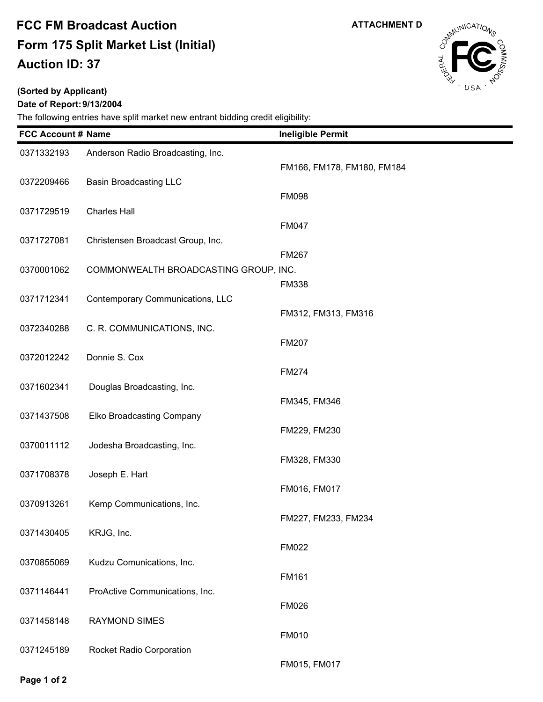## **Auction ID: 37 Form 175 Split Market List (Initial) FCC FM Broadcast Auction**

## **(Sorted by Applicant)**

**Date of Report:9/13/2004**

The following entries have split market new entrant bidding credit eligibility:

| <b>FCC Account # Name</b> |                                       | <b>Ineligible Permit</b>   |
|---------------------------|---------------------------------------|----------------------------|
| 0371332193                | Anderson Radio Broadcasting, Inc.     |                            |
|                           |                                       | FM166, FM178, FM180, FM184 |
| 0372209466                | <b>Basin Broadcasting LLC</b>         |                            |
|                           |                                       | <b>FM098</b>               |
| 0371729519                | <b>Charles Hall</b>                   |                            |
|                           |                                       | <b>FM047</b>               |
| 0371727081                | Christensen Broadcast Group, Inc.     |                            |
|                           |                                       | <b>FM267</b>               |
| 0370001062                | COMMONWEALTH BROADCASTING GROUP, INC. |                            |
|                           |                                       | <b>FM338</b>               |
| 0371712341                | Contemporary Communications, LLC      |                            |
|                           |                                       | FM312, FM313, FM316        |
| 0372340288                | C. R. COMMUNICATIONS, INC.            |                            |
|                           |                                       | <b>FM207</b>               |
| 0372012242                | Donnie S. Cox                         |                            |
|                           |                                       | <b>FM274</b>               |
| 0371602341                | Douglas Broadcasting, Inc.            |                            |
|                           |                                       | FM345, FM346               |
| 0371437508                | Elko Broadcasting Company             |                            |
|                           |                                       | FM229, FM230               |
| 0370011112                | Jodesha Broadcasting, Inc.            |                            |
|                           |                                       | FM328, FM330               |
| 0371708378                | Joseph E. Hart                        |                            |
|                           |                                       | FM016, FM017               |
| 0370913261                | Kemp Communications, Inc.             |                            |
|                           |                                       | FM227, FM233, FM234        |
| 0371430405                | KRJG, Inc.                            |                            |
|                           |                                       | <b>FM022</b>               |
| 0370855069                | Kudzu Comunications, Inc.             |                            |
|                           |                                       | <b>FM161</b>               |
| 0371146441                | ProActive Communications, Inc.        |                            |
|                           |                                       | <b>FM026</b>               |
| 0371458148                | <b>RAYMOND SIMES</b>                  |                            |
|                           |                                       | <b>FM010</b>               |
| 0371245189                | Rocket Radio Corporation              |                            |
|                           |                                       | FM015, FM017               |



 **ATTACHMENT D**